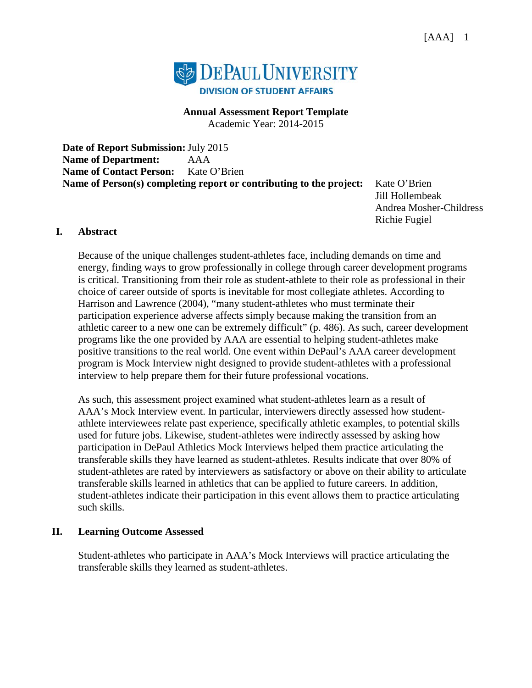

**Annual Assessment Report Template** Academic Year: 2014-2015

**Date of Report Submission:**July 2015 **Name of Department:** AAA<br> **Name of Contact Person:** Kate O'Brien **Name of Contact Person: Name of Person(s) completing report or contributing to the project:** Kate O'Brien

Jill Hollembeak Andrea Mosher-Childress Richie Fugiel

#### **I. Abstract**

Because of the unique challenges student-athletes face, including demands on time and energy, finding ways to grow professionally in college through career development programs is critical. Transitioning from their role as student-athlete to their role as professional in their choice of career outside of sports is inevitable for most collegiate athletes. According to Harrison and Lawrence (2004), "many student-athletes who must terminate their participation experience adverse affects simply because making the transition from an athletic career to a new one can be extremely difficult" (p. 486). As such, career development programs like the one provided by AAA are essential to helping student-athletes make positive transitions to the real world. One event within DePaul's AAA career development program is Mock Interview night designed to provide student-athletes with a professional interview to help prepare them for their future professional vocations.

As such, this assessment project examined what student-athletes learn as a result of AAA's Mock Interview event. In particular, interviewers directly assessed how studentathlete interviewees relate past experience, specifically athletic examples, to potential skills used for future jobs. Likewise, student-athletes were indirectly assessed by asking how participation in DePaul Athletics Mock Interviews helped them practice articulating the transferable skills they have learned as student-athletes. Results indicate that over 80% of student-athletes are rated by interviewers as satisfactory or above on their ability to articulate transferable skills learned in athletics that can be applied to future careers. In addition, student-athletes indicate their participation in this event allows them to practice articulating such skills.

#### **II. Learning Outcome Assessed**

Student-athletes who participate in AAA's Mock Interviews will practice articulating the transferable skills they learned as student-athletes.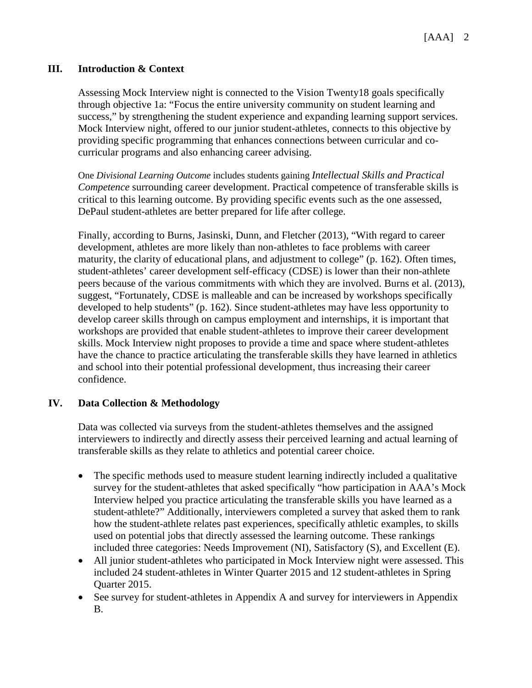#### **III. Introduction & Context**

Assessing Mock Interview night is connected to the Vision Twenty18 goals specifically through objective 1a: "Focus the entire university community on student learning and success," by strengthening the student experience and expanding learning support services. Mock Interview night, offered to our junior student-athletes, connects to this objective by providing specific programming that enhances connections between curricular and cocurricular programs and also enhancing career advising.

One *Divisional Learning Outcome* includes students gaining *Intellectual Skills and Practical Competence* surrounding career development. Practical competence of transferable skills is critical to this learning outcome. By providing specific events such as the one assessed, DePaul student-athletes are better prepared for life after college.

Finally, according to Burns, Jasinski, Dunn, and Fletcher (2013), "With regard to career development, athletes are more likely than non-athletes to face problems with career maturity, the clarity of educational plans, and adjustment to college" (p. 162). Often times, student-athletes' career development self-efficacy (CDSE) is lower than their non-athlete peers because of the various commitments with which they are involved. Burns et al. (2013), suggest, "Fortunately, CDSE is malleable and can be increased by workshops specifically developed to help students" (p. 162). Since student-athletes may have less opportunity to develop career skills through on campus employment and internships, it is important that workshops are provided that enable student-athletes to improve their career development skills. Mock Interview night proposes to provide a time and space where student-athletes have the chance to practice articulating the transferable skills they have learned in athletics and school into their potential professional development, thus increasing their career confidence.

## **IV. Data Collection & Methodology**

Data was collected via surveys from the student-athletes themselves and the assigned interviewers to indirectly and directly assess their perceived learning and actual learning of transferable skills as they relate to athletics and potential career choice.

- The specific methods used to measure student learning indirectly included a qualitative survey for the student-athletes that asked specifically "how participation in AAA's Mock Interview helped you practice articulating the transferable skills you have learned as a student-athlete?" Additionally, interviewers completed a survey that asked them to rank how the student-athlete relates past experiences, specifically athletic examples, to skills used on potential jobs that directly assessed the learning outcome. These rankings included three categories: Needs Improvement (NI), Satisfactory (S), and Excellent (E).
- All junior student-athletes who participated in Mock Interview night were assessed. This included 24 student-athletes in Winter Quarter 2015 and 12 student-athletes in Spring Quarter 2015.
- See survey for student-athletes in Appendix A and survey for interviewers in Appendix B.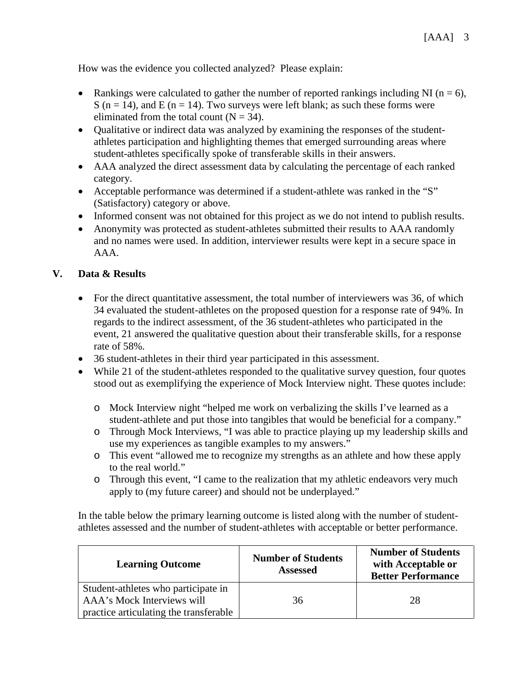How was the evidence you collected analyzed? Please explain:

- Rankings were calculated to gather the number of reported rankings including NI ( $n = 6$ ), S ( $n = 14$ ), and E ( $n = 14$ ). Two surveys were left blank; as such these forms were eliminated from the total count  $(N = 34)$ .
- Qualitative or indirect data was analyzed by examining the responses of the studentathletes participation and highlighting themes that emerged surrounding areas where student-athletes specifically spoke of transferable skills in their answers.
- AAA analyzed the direct assessment data by calculating the percentage of each ranked category.
- Acceptable performance was determined if a student-athlete was ranked in the "S" (Satisfactory) category or above.
- Informed consent was not obtained for this project as we do not intend to publish results.
- Anonymity was protected as student-athletes submitted their results to AAA randomly and no names were used. In addition, interviewer results were kept in a secure space in AAA.

## **V. Data & Results**

- For the direct quantitative assessment, the total number of interviewers was 36, of which 34 evaluated the student-athletes on the proposed question for a response rate of 94%. In regards to the indirect assessment, of the 36 student-athletes who participated in the event, 21 answered the qualitative question about their transferable skills, for a response rate of 58%.
- 36 student-athletes in their third year participated in this assessment.
- While 21 of the student-athletes responded to the qualitative survey question, four quotes stood out as exemplifying the experience of Mock Interview night. These quotes include:
	- o Mock Interview night "helped me work on verbalizing the skills I've learned as a student-athlete and put those into tangibles that would be beneficial for a company."
	- o Through Mock Interviews, "I was able to practice playing up my leadership skills and use my experiences as tangible examples to my answers."
	- o This event "allowed me to recognize my strengths as an athlete and how these apply to the real world."
	- o Through this event, "I came to the realization that my athletic endeavors very much apply to (my future career) and should not be underplayed."

In the table below the primary learning outcome is listed along with the number of studentathletes assessed and the number of student-athletes with acceptable or better performance.

| <b>Learning Outcome</b>                | <b>Number of Students</b><br><b>Assessed</b> | <b>Number of Students</b><br>with Acceptable or<br><b>Better Performance</b> |  |
|----------------------------------------|----------------------------------------------|------------------------------------------------------------------------------|--|
| Student-athletes who participate in    |                                              |                                                                              |  |
| AAA's Mock Interviews will             | 36                                           | 28                                                                           |  |
| practice articulating the transferable |                                              |                                                                              |  |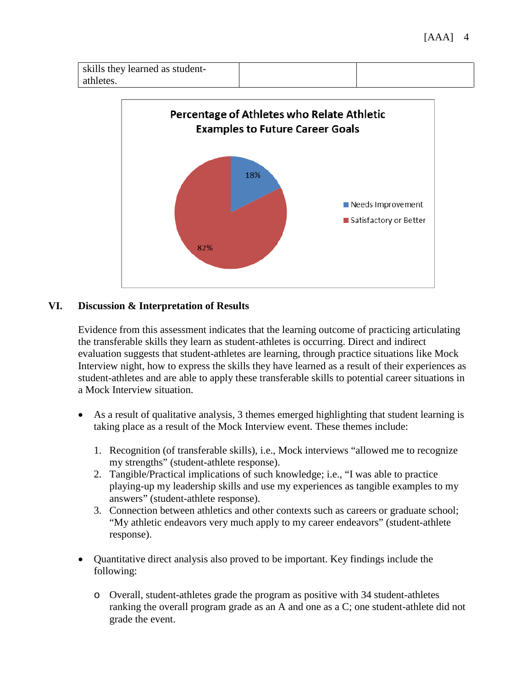| skills they learned as student- |  |
|---------------------------------|--|
| athletes.                       |  |



### **VI. Discussion & Interpretation of Results**

Evidence from this assessment indicates that the learning outcome of practicing articulating the transferable skills they learn as student-athletes is occurring. Direct and indirect evaluation suggests that student-athletes are learning, through practice situations like Mock Interview night, how to express the skills they have learned as a result of their experiences as student-athletes and are able to apply these transferable skills to potential career situations in a Mock Interview situation.

- As a result of qualitative analysis, 3 themes emerged highlighting that student learning is taking place as a result of the Mock Interview event. These themes include:
	- 1. Recognition (of transferable skills), i.e., Mock interviews "allowed me to recognize my strengths" (student-athlete response).
	- 2. Tangible/Practical implications of such knowledge; i.e., "I was able to practice playing-up my leadership skills and use my experiences as tangible examples to my answers" (student-athlete response).
	- 3. Connection between athletics and other contexts such as careers or graduate school; "My athletic endeavors very much apply to my career endeavors" (student-athlete response).
- Quantitative direct analysis also proved to be important. Key findings include the following:
	- o Overall, student-athletes grade the program as positive with 34 student-athletes ranking the overall program grade as an A and one as a C; one student-athlete did not grade the event.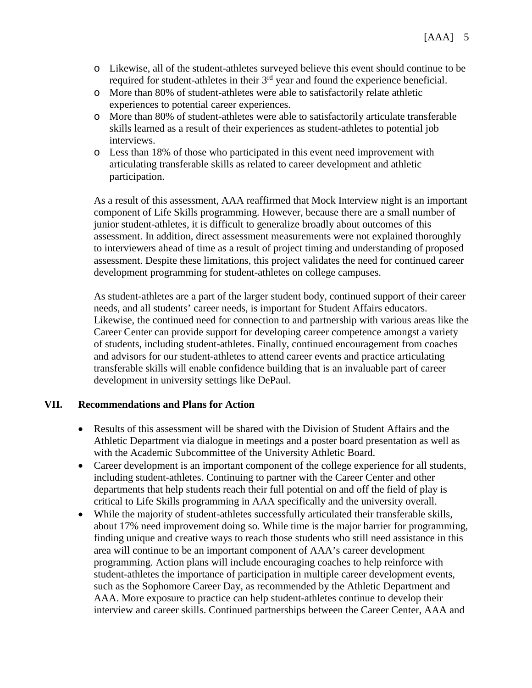- o Likewise, all of the student-athletes surveyed believe this event should continue to be required for student-athletes in their  $3<sup>rd</sup>$  year and found the experience beneficial.
- o More than 80% of student-athletes were able to satisfactorily relate athletic experiences to potential career experiences.
- o More than 80% of student-athletes were able to satisfactorily articulate transferable skills learned as a result of their experiences as student-athletes to potential job interviews.
- o Less than 18% of those who participated in this event need improvement with articulating transferable skills as related to career development and athletic participation.

As a result of this assessment, AAA reaffirmed that Mock Interview night is an important component of Life Skills programming. However, because there are a small number of junior student-athletes, it is difficult to generalize broadly about outcomes of this assessment. In addition, direct assessment measurements were not explained thoroughly to interviewers ahead of time as a result of project timing and understanding of proposed assessment. Despite these limitations, this project validates the need for continued career development programming for student-athletes on college campuses.

As student-athletes are a part of the larger student body, continued support of their career needs, and all students' career needs, is important for Student Affairs educators. Likewise, the continued need for connection to and partnership with various areas like the Career Center can provide support for developing career competence amongst a variety of students, including student-athletes. Finally, continued encouragement from coaches and advisors for our student-athletes to attend career events and practice articulating transferable skills will enable confidence building that is an invaluable part of career development in university settings like DePaul.

## **VII. Recommendations and Plans for Action**

- Results of this assessment will be shared with the Division of Student Affairs and the Athletic Department via dialogue in meetings and a poster board presentation as well as with the Academic Subcommittee of the University Athletic Board.
- Career development is an important component of the college experience for all students, including student-athletes. Continuing to partner with the Career Center and other departments that help students reach their full potential on and off the field of play is critical to Life Skills programming in AAA specifically and the university overall.
- While the majority of student-athletes successfully articulated their transferable skills, about 17% need improvement doing so. While time is the major barrier for programming, finding unique and creative ways to reach those students who still need assistance in this area will continue to be an important component of AAA's career development programming. Action plans will include encouraging coaches to help reinforce with student-athletes the importance of participation in multiple career development events, such as the Sophomore Career Day, as recommended by the Athletic Department and AAA. More exposure to practice can help student-athletes continue to develop their interview and career skills. Continued partnerships between the Career Center, AAA and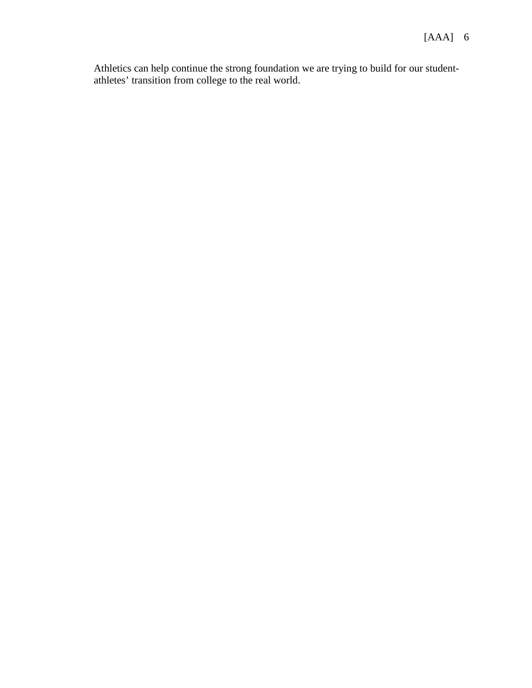Athletics can help continue the strong foundation we are trying to build for our studentathletes' transition from college to the real world.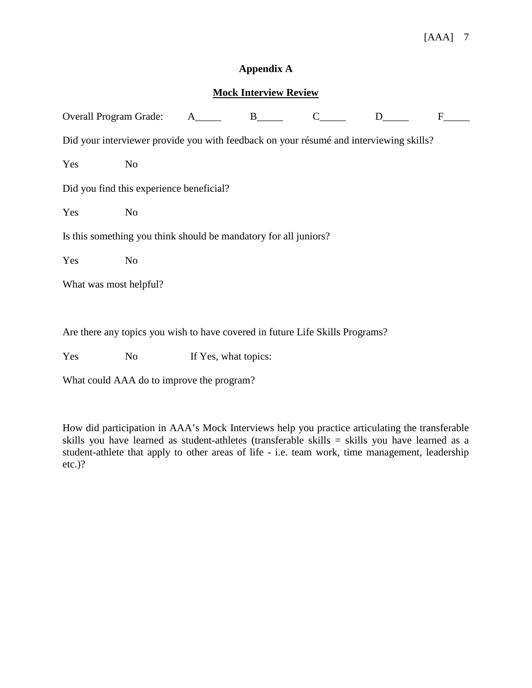## [AAA] 7

## **Appendix A**

#### **Mock Interview Review**

| <b>Overall Program Grade:</b> |                                                                               | $\mathbf{A}$         | $\mathbf{B}$ | $\mathbf C$ | D                                                                                      | F |
|-------------------------------|-------------------------------------------------------------------------------|----------------------|--------------|-------------|----------------------------------------------------------------------------------------|---|
|                               |                                                                               |                      |              |             | Did your interviewer provide you with feedback on your résumé and interviewing skills? |   |
| Yes                           | N <sub>o</sub>                                                                |                      |              |             |                                                                                        |   |
|                               | Did you find this experience beneficial?                                      |                      |              |             |                                                                                        |   |
| Yes                           | N <sub>o</sub>                                                                |                      |              |             |                                                                                        |   |
|                               | Is this something you think should be mandatory for all juniors?              |                      |              |             |                                                                                        |   |
| Yes                           | N <sub>o</sub>                                                                |                      |              |             |                                                                                        |   |
| What was most helpful?        |                                                                               |                      |              |             |                                                                                        |   |
|                               |                                                                               |                      |              |             |                                                                                        |   |
|                               | Are there any topics you wish to have covered in future Life Skills Programs? |                      |              |             |                                                                                        |   |
| Yes                           | No                                                                            | If Yes, what topics: |              |             |                                                                                        |   |

What could AAA do to improve the program?

How did participation in AAA's Mock Interviews help you practice articulating the transferable skills you have learned as student-athletes (transferable skills = skills you have learned as a student-athlete that apply to other areas of life - i.e. team work, time management, leadership etc.)?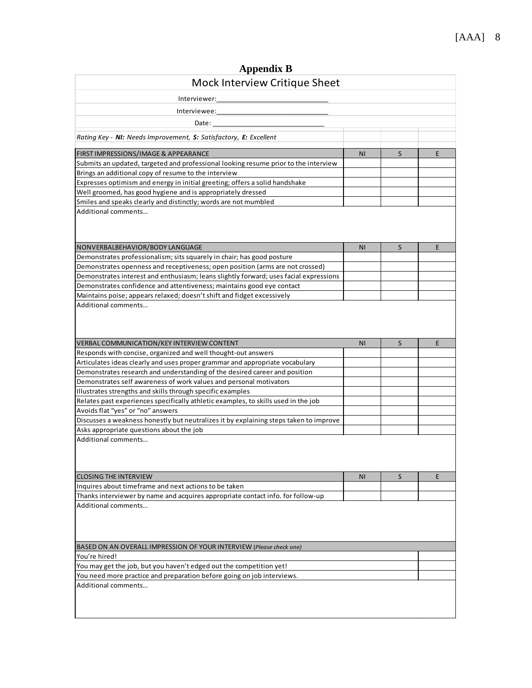| <b>Appendix B</b>                                                                             |           |   |   |
|-----------------------------------------------------------------------------------------------|-----------|---|---|
| Mock Interview Critique Sheet                                                                 |           |   |   |
| Interviewer:                                                                                  |           |   |   |
|                                                                                               |           |   |   |
| Interviewee:                                                                                  |           |   |   |
| Date:                                                                                         |           |   |   |
| Rating Key - NI: Needs Improvement, S: Satisfactory, E: Excellent                             |           |   |   |
| FIRST IMPRESSIONS/IMAGE & APPEARANCE                                                          | <b>NI</b> | S | E |
| Submits an updated, targeted and professional looking resume prior to the interview           |           |   |   |
| Brings an additional copy of resume to the interview                                          |           |   |   |
| Expresses optimism and energy in initial greeting; offers a solid handshake                   |           |   |   |
| Well groomed, has good hygiene and is appropriately dressed                                   |           |   |   |
| Smiles and speaks clearly and distinctly; words are not mumbled                               |           |   |   |
| Additional comments                                                                           |           |   |   |
| NONVERBALBEHAVIOR/BODY LANGUAGE                                                               | <b>NI</b> | S | E |
| Demonstrates professionalism; sits squarely in chair; has good posture                        |           |   |   |
| Demonstrates openness and receptiveness; open position (arms are not crossed)                 |           |   |   |
| Demonstrates interest and enthusiasm; leans slightly forward; uses facial expressions         |           |   |   |
| Demonstrates confidence and attentiveness; maintains good eye contact                         |           |   |   |
| Maintains poise; appears relaxed; doesn't shift and fidget excessively<br>Additional comments |           |   |   |
| <b>VERBAL COMMUNICATION/KEY INTERVIEW CONTENT</b>                                             | ΝI        | S | E |
| Responds with concise, organized and well thought-out answers                                 |           |   |   |
| Articulates ideas clearly and uses proper grammar and appropriate vocabulary                  |           |   |   |
| Demonstrates research and understanding of the desired career and position                    |           |   |   |
| Demonstrates self awareness of work values and personal motivators                            |           |   |   |
| Illustrates strengths and skills through specific examples                                    |           |   |   |
| Relates past experiences specifically athletic examples, to skills used in the job            |           |   |   |
| Avoids flat "yes" or "no" answers                                                             |           |   |   |
| Discusses a weakness honestly but neutralizes it by explaining steps taken to improve         |           |   |   |
| Asks appropriate questions about the job                                                      |           |   |   |
| Additional comments                                                                           |           |   |   |
| <b>CLOSING THE INTERVIEW</b>                                                                  | ΝI        | S | E |
| Inquires about timeframe and next actions to be taken                                         |           |   |   |
| Thanks interviewer by name and acquires appropriate contact info. for follow-up               |           |   |   |
| Additional comments                                                                           |           |   |   |
| BASED ON AN OVERALL IMPRESSION OF YOUR INTERVIEW (Please check one)                           |           |   |   |
| You're hired!                                                                                 |           |   |   |
| You may get the job, but you haven't edged out the competition yet!                           |           |   |   |
| You need more practice and preparation before going on job interviews.                        |           |   |   |
| Additional comments                                                                           |           |   |   |

# [AAA] 8